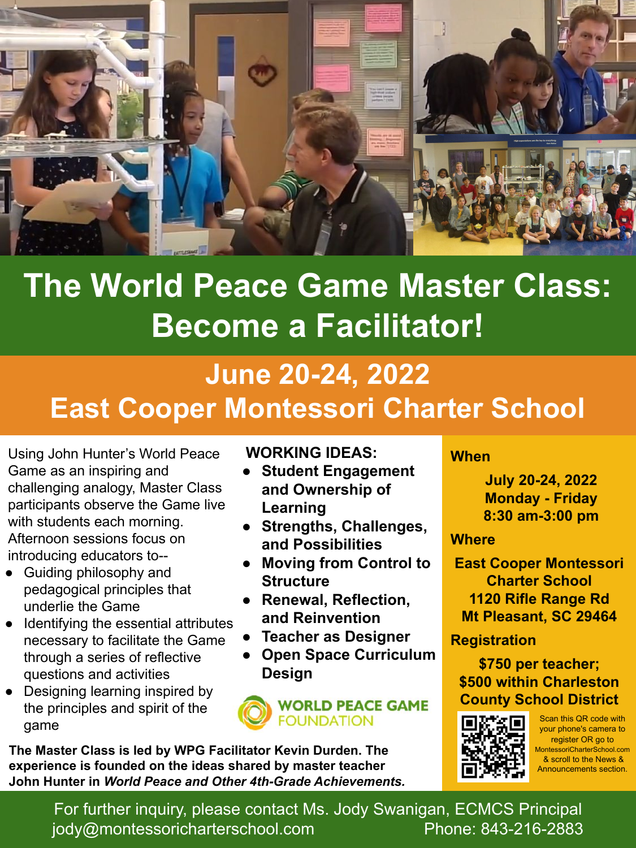

# **The World Peace Game Master Class: Become a Facilitator!**

# **June 20-24, 2022 East Cooper Montessori Charter School**

Using John Hunter's World Peace Game as an inspiring and challenging analogy, Master Class participants observe the Game live with students each morning. Afternoon sessions focus on introducing educators to--

- Guiding philosophy and pedagogical principles that underlie the Game
- Identifying the essential attributes necessary to facilitate the Game through a series of reflective questions and activities
- Designing learning inspired by the principles and spirit of the game

### **WORKING IDEAS:**

- **Student Engagement and Ownership of Learning**
- **Strengths, Challenges, and Possibilities**
- **Moving from Control to Structure**
- **Renewal, Reflection, and Reinvention**
- **Teacher as Designer**
- **● Open Space Curriculum Design**



**The Master Class is led by WPG Facilitator Kevin Durden. The experience is founded on the ideas shared by master teacher John Hunter in** *World Peace and Other 4th-Grade Achievements.* 

#### **When**

**July 20-24, 2022 Monday - Friday 8:30 am-3:00 pm** 

#### **Where**

**East Cooper Montessori Charter School 1120 Rifle Range Rd Mt Pleasant, SC 29464**

**Registration**

### **\$750 per teacher; \$500 within Charleston County School District**



Scan this QR code with your phone's camera to register OR go to MontessoriCharterSchool.com & scroll to the News & Announcements section.

For further inquiry, please contact Ms. Jody Swanigan, ECMCS Principal [jody@montessoricharterschool.com](mailto:jody@montessoricharterschool.com) Phone: 843-216-2883